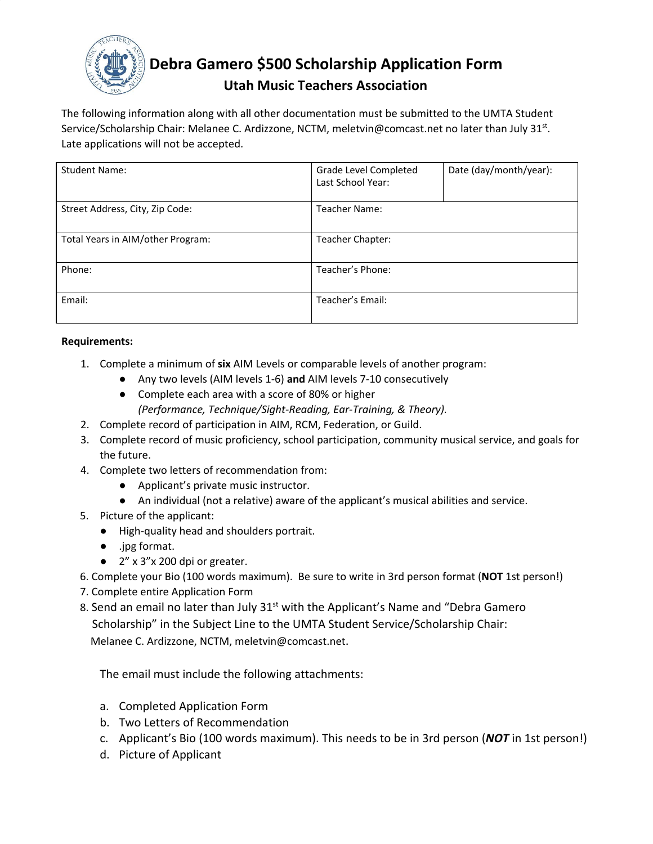

# **Debra Gamero \$500 Scholarship Application Form**

## **Utah Music Teachers Association**

The following information along with all other documentation must be submitted to the UMTA Student Service/Scholarship Chair: Melanee C. Ardizzone, NCTM, [meletvin@comcast.net](mailto:meletvin@comcast.net) no later than July 31st. Late applications will not be accepted.

| <b>Student Name:</b>              | Date (day/month/year):<br>Grade Level Completed<br>Last School Year: |  |  |
|-----------------------------------|----------------------------------------------------------------------|--|--|
| Street Address, City, Zip Code:   | <b>Teacher Name:</b>                                                 |  |  |
| Total Years in AIM/other Program: | Teacher Chapter:                                                     |  |  |
| Phone:                            | Teacher's Phone:                                                     |  |  |
| Email:                            | Teacher's Email:                                                     |  |  |

### **Requirements:**

- 1. Complete a minimum of **six** AIM Levels or comparable levels of another program:
	- Any two levels (AIM levels 1-6) **and** AIM levels 7-10 consecutively
	- *●* Complete each area with a score of 80% or higher *(Performance, Technique/Sight-Reading, Ear-Training, & Theory).*
- 2. Complete record of participation in AIM, RCM, Federation, or Guild.
- 3. Complete record of music proficiency, school participation, community musical service, and goals for the future.
- 4. Complete two letters of recommendation from:
	- Applicant's private music instructor.
	- An individual (not a relative) aware of the applicant's musical abilities and service.
- 5. Picture of the applicant:
	- High-quality head and shoulders portrait.
	- .jpg format.
	- 2" x 3"x 200 dpi or greater.
- 6. Complete your Bio (100 words maximum). Be sure to write in 3rd person format (**NOT** 1st person!)
- 7. Complete entire Application Form
- 8. Send an email no later than July 31<sup>st</sup> with the Applicant's Name and "Debra Gamero Scholarship" in the Subject Line to the UMTA Student Service/Scholarship Chair: Melanee C. Ardizzone, NCTM, [meletvin@comcast.net](mailto:meletvin@comcast.net).

The email must include the following attachments:

- a. Completed Application Form
- b. Two Letters of Recommendation
- c. Applicant's Bio (100 words maximum). This needs to be in 3rd person (*NOT* in 1st person!)
- d. Picture of Applicant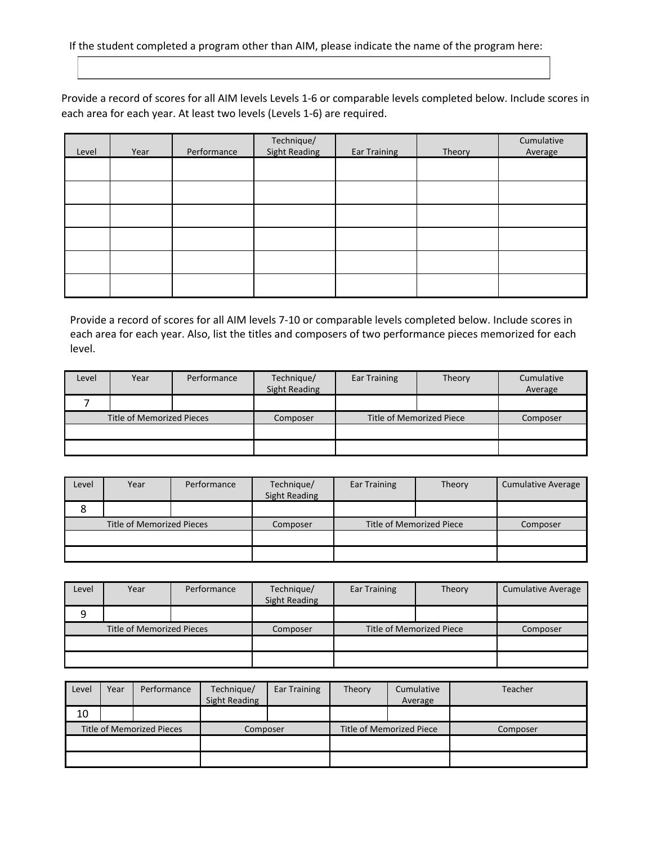If the student completed a program other than AIM, please indicate the name of the program here:

Provide a record of scores for all AIM levels Levels 1-6 or comparable levels completed below. Include scores in each area for each year. At least two levels (Levels 1-6) are required.

| Level | Year | Performance | Technique/<br>Sight Reading | <b>Ear Training</b> | Theory | Cumulative<br>Average |
|-------|------|-------------|-----------------------------|---------------------|--------|-----------------------|
|       |      |             |                             |                     |        |                       |
|       |      |             |                             |                     |        |                       |
|       |      |             |                             |                     |        |                       |
|       |      |             |                             |                     |        |                       |
|       |      |             |                             |                     |        |                       |
|       |      |             |                             |                     |        |                       |

Provide a record of scores for all AIM levels 7-10 or comparable levels completed below. Include scores in each area for each year. Also, list the titles and composers of two performance pieces memorized for each level.

| Level                     | Year | Performance | Technique/<br><b>Sight Reading</b> | <b>Ear Training</b>      | Theory   | Cumulative<br>Average |
|---------------------------|------|-------------|------------------------------------|--------------------------|----------|-----------------------|
|                           |      |             |                                    |                          |          |                       |
| Title of Memorized Pieces |      | Composer    |                                    | Title of Memorized Piece | Composer |                       |
|                           |      |             |                                    |                          |          |                       |
|                           |      |             |                                    |                          |          |                       |

| Level                            | Year | Performance | Technique/<br><b>Sight Reading</b> | <b>Ear Training</b> | Theory   | <b>Cumulative Average</b> |
|----------------------------------|------|-------------|------------------------------------|---------------------|----------|---------------------------|
| Ō                                |      |             |                                    |                     |          |                           |
| <b>Title of Memorized Pieces</b> |      | Composer    | Title of Memorized Piece           |                     | Composer |                           |
|                                  |      |             |                                    |                     |          |                           |
|                                  |      |             |                                    |                     |          |                           |

| Level                     | Year | Performance | Technique/<br>Sight Reading | Ear Training | Theory   | <b>Cumulative Average</b> |
|---------------------------|------|-------------|-----------------------------|--------------|----------|---------------------------|
| 9                         |      |             |                             |              |          |                           |
| Title of Memorized Pieces |      | Composer    | Title of Memorized Piece    |              | Composer |                           |
|                           |      |             |                             |              |          |                           |
|                           |      |             |                             |              |          |                           |

| Level | Year | Performance               | Technique/<br><b>Sight Reading</b> | <b>Ear Training</b> | Theory | Cumulative<br>Average    | Teacher  |
|-------|------|---------------------------|------------------------------------|---------------------|--------|--------------------------|----------|
| 10    |      |                           |                                    |                     |        |                          |          |
|       |      | Title of Memorized Pieces | Composer                           |                     |        | Title of Memorized Piece | Composer |
|       |      |                           |                                    |                     |        |                          |          |
|       |      |                           |                                    |                     |        |                          |          |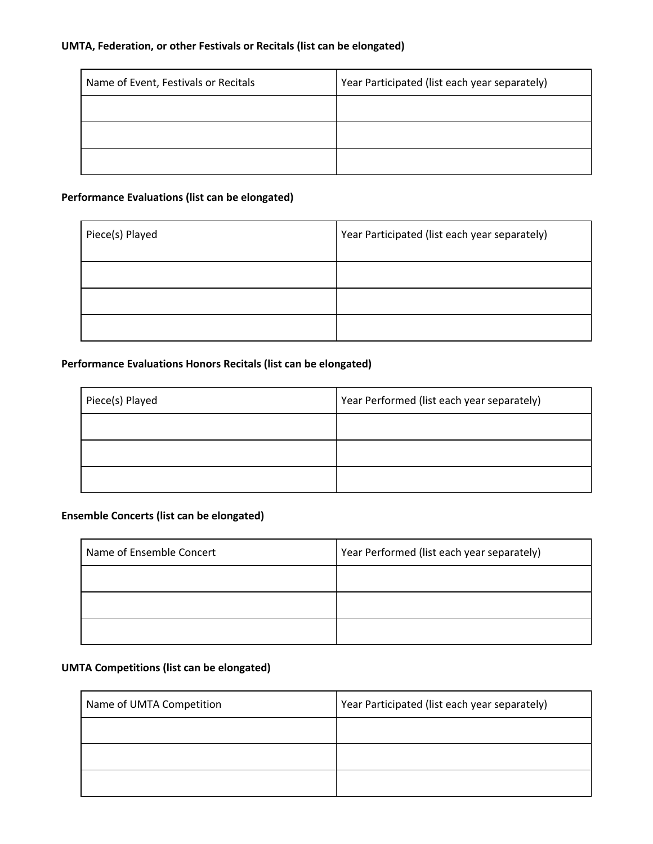#### **UMTA, Federation, or other Festivals or Recitals (list can be elongated)**

| Name of Event, Festivals or Recitals | Year Participated (list each year separately) |
|--------------------------------------|-----------------------------------------------|
|                                      |                                               |
|                                      |                                               |
|                                      |                                               |

### **Performance Evaluations (list can be elongated)**

| Piece(s) Played | Year Participated (list each year separately) |
|-----------------|-----------------------------------------------|
|                 |                                               |
|                 |                                               |
|                 |                                               |

### **Performance Evaluations Honors Recitals (list can be elongated)**

| Piece(s) Played | Year Performed (list each year separately) |
|-----------------|--------------------------------------------|
|                 |                                            |
|                 |                                            |
|                 |                                            |

### **Ensemble Concerts (list can be elongated)**

| Name of Ensemble Concert | Year Performed (list each year separately) |
|--------------------------|--------------------------------------------|
|                          |                                            |
|                          |                                            |
|                          |                                            |

#### **UMTA Competitions (list can be elongated)**

| Name of UMTA Competition | Year Participated (list each year separately) |
|--------------------------|-----------------------------------------------|
|                          |                                               |
|                          |                                               |
|                          |                                               |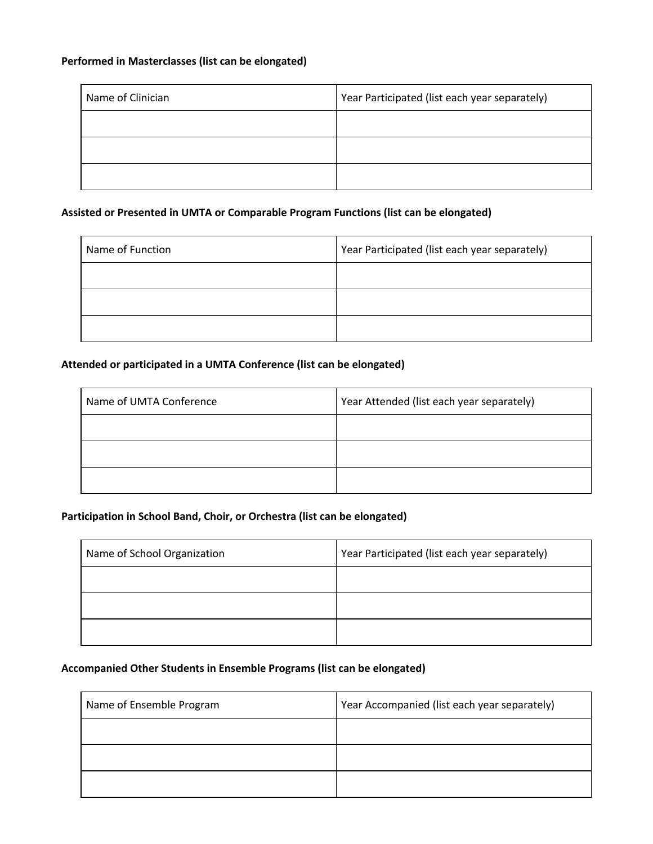### **Performed in Masterclasses (list can be elongated)**

| Name of Clinician | Year Participated (list each year separately) |
|-------------------|-----------------------------------------------|
|                   |                                               |
|                   |                                               |
|                   |                                               |

### **Assisted or Presented in UMTA or Comparable Program Functions (list can be elongated)**

| Name of Function | Year Participated (list each year separately) |
|------------------|-----------------------------------------------|
|                  |                                               |
|                  |                                               |
|                  |                                               |

### **Attended or participated in a UMTA Conference (list can be elongated)**

| Name of UMTA Conference | Year Attended (list each year separately) |
|-------------------------|-------------------------------------------|
|                         |                                           |
|                         |                                           |
|                         |                                           |

### **Participation in School Band, Choir, or Orchestra (list can be elongated)**

| Name of School Organization | Year Participated (list each year separately) |
|-----------------------------|-----------------------------------------------|
|                             |                                               |
|                             |                                               |
|                             |                                               |

### **Accompanied Other Students in Ensemble Programs (list can be elongated)**

| Name of Ensemble Program | Year Accompanied (list each year separately) |
|--------------------------|----------------------------------------------|
|                          |                                              |
|                          |                                              |
|                          |                                              |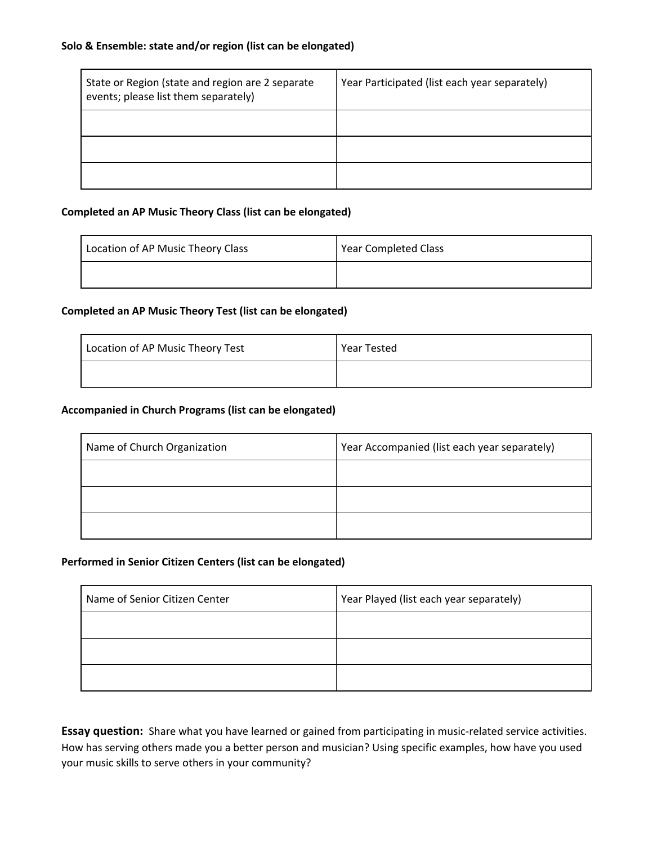| State or Region (state and region are 2 separate<br>events; please list them separately) | Year Participated (list each year separately) |
|------------------------------------------------------------------------------------------|-----------------------------------------------|
|                                                                                          |                                               |
|                                                                                          |                                               |
|                                                                                          |                                               |

#### **Completed an AP Music Theory Class (list can be elongated)**

| Location of AP Music Theory Class | Year Completed Class |
|-----------------------------------|----------------------|
|                                   |                      |

### **Completed an AP Music Theory Test (list can be elongated)**

| Location of AP Music Theory Test | Year Tested |
|----------------------------------|-------------|
|                                  |             |

#### **Accompanied in Church Programs (list can be elongated)**

| Name of Church Organization | Year Accompanied (list each year separately) |
|-----------------------------|----------------------------------------------|
|                             |                                              |
|                             |                                              |
|                             |                                              |

#### **Performed in Senior Citizen Centers (list can be elongated)**

| Name of Senior Citizen Center | Year Played (list each year separately) |
|-------------------------------|-----------------------------------------|
|                               |                                         |
|                               |                                         |
|                               |                                         |

**Essay question:** Share what you have learned or gained from participating in music-related service activities. How has serving others made you a better person and musician? Using specific examples, how have you used your music skills to serve others in your community?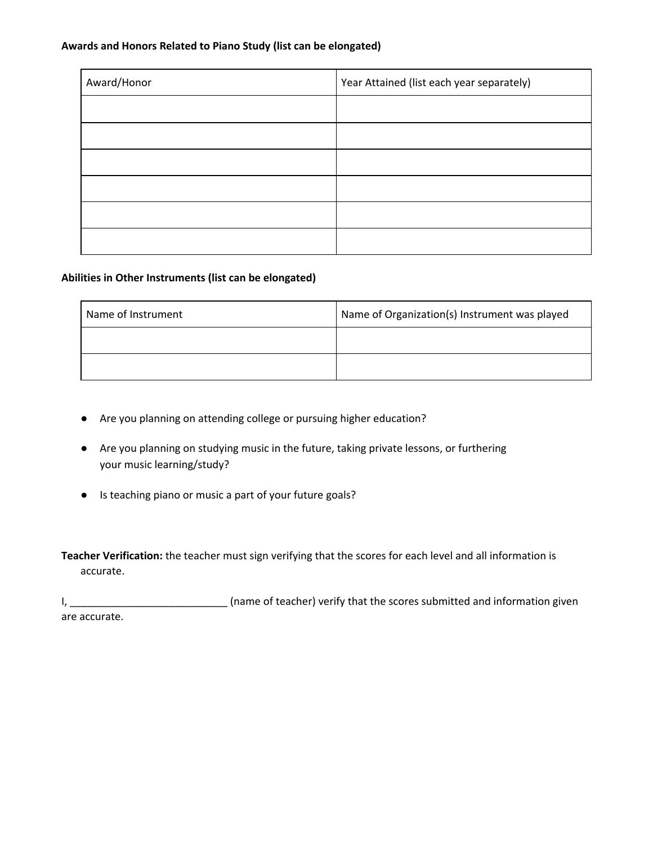#### **Awards and Honors Related to Piano Study (list can be elongated)**

| Award/Honor | Year Attained (list each year separately) |
|-------------|-------------------------------------------|
|             |                                           |
|             |                                           |
|             |                                           |
|             |                                           |
|             |                                           |
|             |                                           |

### **Abilities in Other Instruments (list can be elongated)**

| Name of Instrument | Name of Organization(s) Instrument was played |
|--------------------|-----------------------------------------------|
|                    |                                               |
|                    |                                               |

- Are you planning on attending college or pursuing higher education?
- Are you planning on studying music in the future, taking private lessons, or furthering your music learning/study?
- Is teaching piano or music a part of your future goals?

**Teacher Verification:** the teacher must sign verifying that the scores for each level and all information is accurate.

I, \_\_\_\_\_\_\_\_\_\_\_\_\_\_\_\_\_\_\_\_\_\_\_\_\_\_\_\_\_\_\_\_\_ (name of teacher) verify that the scores submitted and information given are accurate.